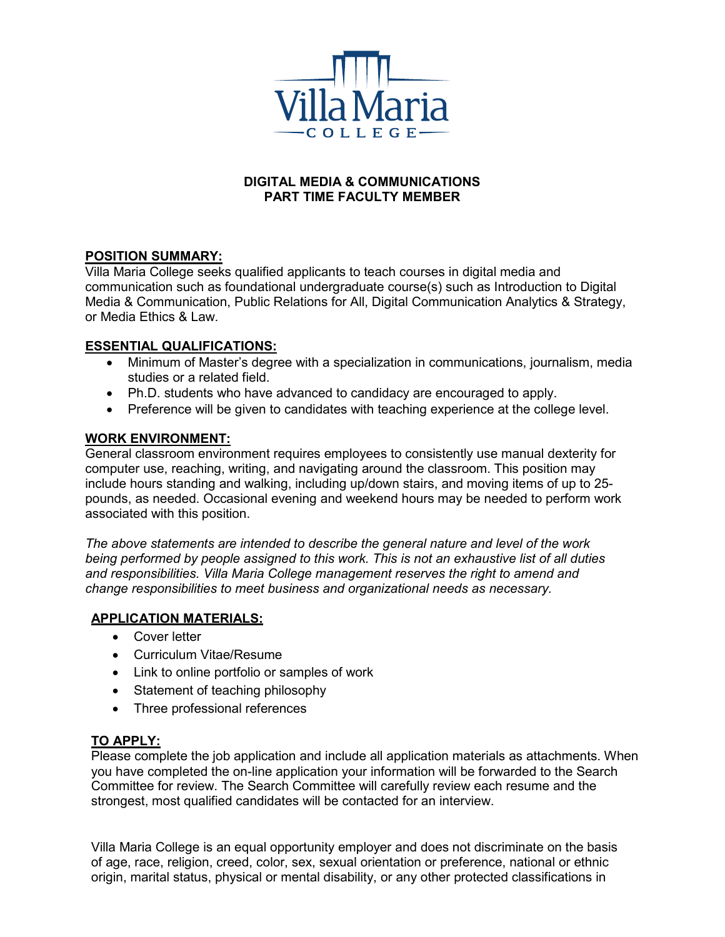

### **DIGITAL MEDIA & COMMUNICATIONS PART TIME FACULTY MEMBER**

# **POSITION SUMMARY:**

Villa Maria College seeks qualified applicants to teach courses in digital media and communication such as foundational undergraduate course(s) such as Introduction to Digital Media & Communication, Public Relations for All, Digital Communication Analytics & Strategy, or Media Ethics & Law.

# **ESSENTIAL QUALIFICATIONS:**

- Minimum of Master's degree with a specialization in communications, journalism, media studies or a related field.
- Ph.D. students who have advanced to candidacy are encouraged to apply.
- Preference will be given to candidates with teaching experience at the college level.

# **WORK ENVIRONMENT:**

General classroom environment requires employees to consistently use manual dexterity for computer use, reaching, writing, and navigating around the classroom. This position may include hours standing and walking, including up/down stairs, and moving items of up to 25 pounds, as needed. Occasional evening and weekend hours may be needed to perform work associated with this position.

*The above statements are intended to describe the general nature and level of the work being performed by people assigned to this work. This is not an exhaustive list of all duties and responsibilities. Villa Maria College management reserves the right to amend and change responsibilities to meet business and organizational needs as necessary.*

### **APPLICATION MATERIALS:**

- Cover letter
- Curriculum Vitae/Resume
- Link to online portfolio or samples of work
- Statement of teaching philosophy
- Three professional references

### **TO APPLY:**

Please complete the job application and include all application materials as attachments. When you have completed the on-line application your information will be forwarded to the Search Committee for review. The Search Committee will carefully review each resume and the strongest, most qualified candidates will be contacted for an interview.

Villa Maria College is an equal opportunity employer and does not discriminate on the basis of age, race, religion, creed, color, sex, sexual orientation or preference, national or ethnic origin, marital status, physical or mental disability, or any other protected classifications in